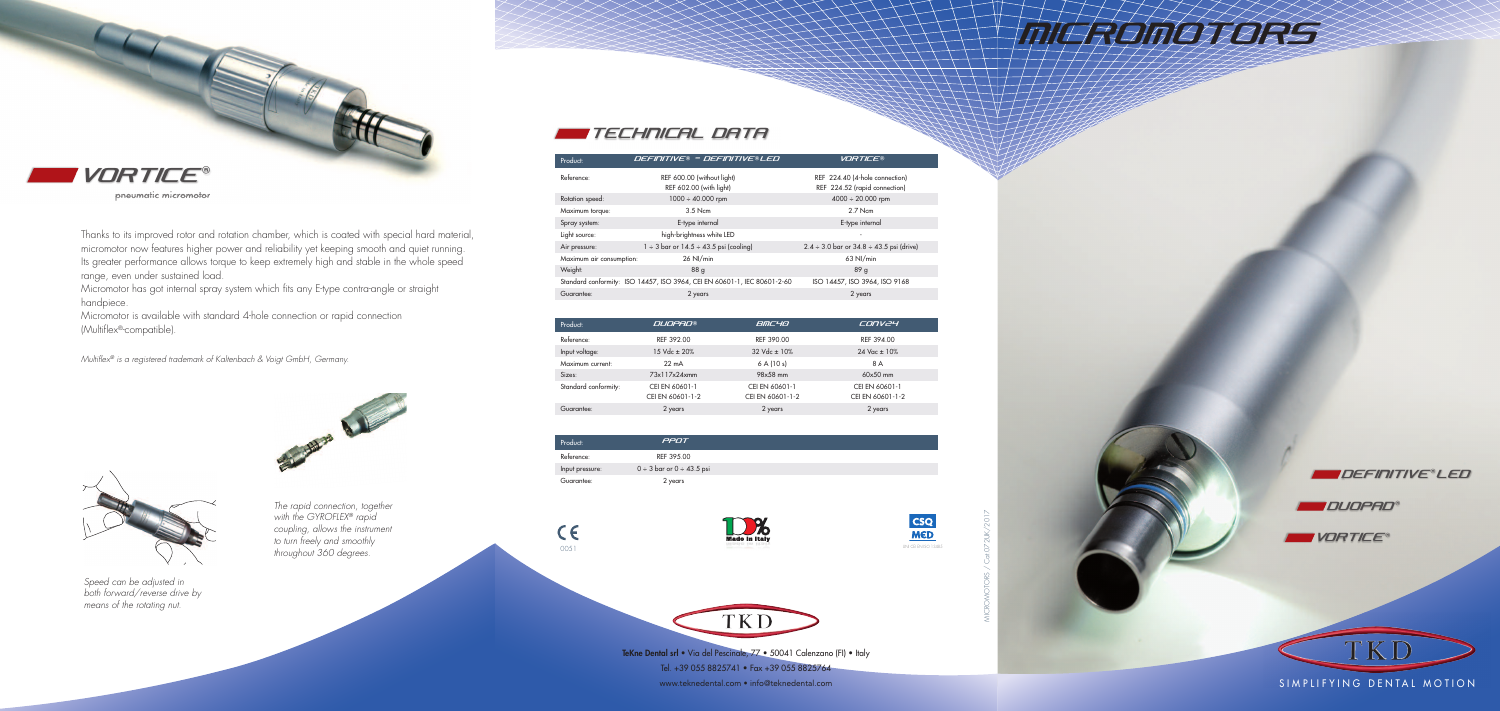MICRO MOTORS / Cat.072UK/2017



Thanks to its improved rotor and rotation chamber, which is coated with special hard material, micromotor now features higher power and reliability yet keeping smooth and quiet running. Its greater performance allows torque to keep extremely high and stable in the whole speed range, even under sustained load.

Micromotor has got internal spray system which fits any E-type contra-angle or straight handpiece.

Micromotor is available with standard 4-hole connection or rapid connection (Multiflex®-compatible).

> **TeKne Dental srl** • Via del Pescinale, 77 • 50041 Calenzano (FI) • Italy Tel. +39 055 8825741 • Fax +39 055 8825764 www.teknedental.com • info@teknedental.com states and the comparative of the state of the state of the state of the state of the state of the state of the state of the state of the state of the state of the state of the st

# **MILLEDATORSS**

*Multiflex® is a registered trademark of Kaltenbach & Voigt GmbH, Germany.*

### DEFINITIVE® LED

**DUOPAD®** 





pneumatic micromotor





## TECHNICAL DATA

| Product:             | <b>DUOPAD®</b>   | BMC40                     | CONV24             |
|----------------------|------------------|---------------------------|--------------------|
| Reference:           | REF 392.00       | REF 390.00                | REF 394.00         |
| Input voltage:       | 15 Vdc ± 20%     | $32 \text{ Vdc} \pm 10\%$ | $24$ Vac $\pm$ 10% |
| Maximum current:     | $22 \text{ mA}$  | 6A(10s)                   | 8 A                |
| Sizes:               | 73x117x24xmm     | 98x58 mm                  | $60x50$ mm         |
| Standard conformity: | CEI EN 60601-1   | CEI EN 60601-1            | CEI EN 60601-1     |
|                      | CEI EN 60601-1-2 | CEI EN 60601-1-2          | CEI EN 60601-1-2   |
| Guarantee:           | 2 years          | 2 years                   | 2 years            |

| Product:        | PPOT                                |  |
|-----------------|-------------------------------------|--|
| Reference:      | RFF 395.00                          |  |
| Input pressure: | $0 \div 3$ bar or $0 \div 43.5$ psi |  |
| Guarantee:      | 2 years                             |  |

 $C \in$ 







*Speed can be adjusted in both forward/reverse drive by means of the rotating nut.*



*The rapid connection, together with the GYROFLEX® rapid coupling, allows the instrument to turn freely and smoothly throughout 360 degrees.*

| Product:                 | DEFINITIVE® - DEFINITIVE®LED                                             | <b>VORTICE®</b>                                                 |
|--------------------------|--------------------------------------------------------------------------|-----------------------------------------------------------------|
| Reference:               | REF 600.00 (without light)<br>REF 602.00 (with light)                    | REF 224.40 (4-hole connection)<br>REF 224.52 (rapid connection) |
| Rotation speed:          | $1000 \div 40.000$ rpm                                                   | $4000 \div 20.000$ rpm                                          |
| Maximum torque:          | $3.5$ Ncm                                                                | $2.7$ Ncm                                                       |
| Spray system:            | E-type internal                                                          | E-type internal                                                 |
| Light source:            | high-brightness white LED                                                |                                                                 |
| Air pressure:            | $1 \div 3$ bar or $14.5 \div 43.5$ psi (cooling)                         | $2.4 \div 3.0$ bar or $34.8 \div 43.5$ psi (drive)              |
| Maximum air consumption: | $26$ NI/min                                                              | 63 NI/min                                                       |
| Weight:                  | 88 <sub>g</sub>                                                          | 89 g                                                            |
|                          | Standard conformity: ISO 14457, ISO 3964, CEI EN 60601-1, IEC 80601-2-60 | ISO 14457, ISO 3964, ISO 9168                                   |
| Guarantee:               | 2 years                                                                  | 2 years                                                         |
|                          |                                                                          |                                                                 |